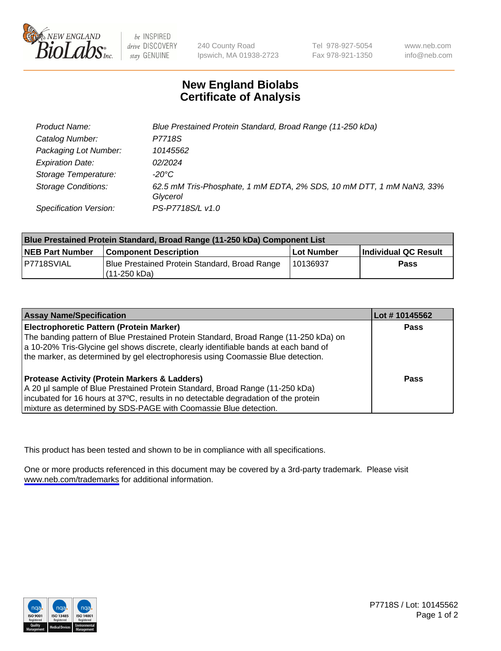

be INSPIRED drive DISCOVERY stay GENUINE

240 County Road Ipswich, MA 01938-2723 Tel 978-927-5054 Fax 978-921-1350

www.neb.com info@neb.com

## **New England Biolabs Certificate of Analysis**

| Product Name:              | Blue Prestained Protein Standard, Broad Range (11-250 kDa)                       |
|----------------------------|----------------------------------------------------------------------------------|
| Catalog Number:            | P7718S                                                                           |
| Packaging Lot Number:      | 10145562                                                                         |
| <b>Expiration Date:</b>    | 02/2024                                                                          |
| Storage Temperature:       | -20°C                                                                            |
| <b>Storage Conditions:</b> | 62.5 mM Tris-Phosphate, 1 mM EDTA, 2% SDS, 10 mM DTT, 1 mM NaN3, 33%<br>Glycerol |
| Specification Version:     | PS-P7718S/L v1.0                                                                 |

| Blue Prestained Protein Standard, Broad Range (11-250 kDa) Component List |                                                                   |              |                      |  |
|---------------------------------------------------------------------------|-------------------------------------------------------------------|--------------|----------------------|--|
| <b>NEB Part Number</b>                                                    | <b>Component Description</b>                                      | l Lot Number | Individual QC Result |  |
| P7718SVIAL                                                                | Blue Prestained Protein Standard, Broad Range<br>l (11-250 kDa) . | l 10136937   | <b>Pass</b>          |  |

| <b>Assay Name/Specification</b>                                                      | Lot #10145562 |
|--------------------------------------------------------------------------------------|---------------|
| <b>Electrophoretic Pattern (Protein Marker)</b>                                      | <b>Pass</b>   |
| The banding pattern of Blue Prestained Protein Standard, Broad Range (11-250 kDa) on |               |
| a 10-20% Tris-Glycine gel shows discrete, clearly identifiable bands at each band of |               |
| the marker, as determined by gel electrophoresis using Coomassie Blue detection.     |               |
|                                                                                      |               |
| <b>Protease Activity (Protein Markers &amp; Ladders)</b>                             | <b>Pass</b>   |
| A 20 µl sample of Blue Prestained Protein Standard, Broad Range (11-250 kDa)         |               |
| incubated for 16 hours at 37°C, results in no detectable degradation of the protein  |               |
| mixture as determined by SDS-PAGE with Coomassie Blue detection.                     |               |

This product has been tested and shown to be in compliance with all specifications.

One or more products referenced in this document may be covered by a 3rd-party trademark. Please visit <www.neb.com/trademarks>for additional information.